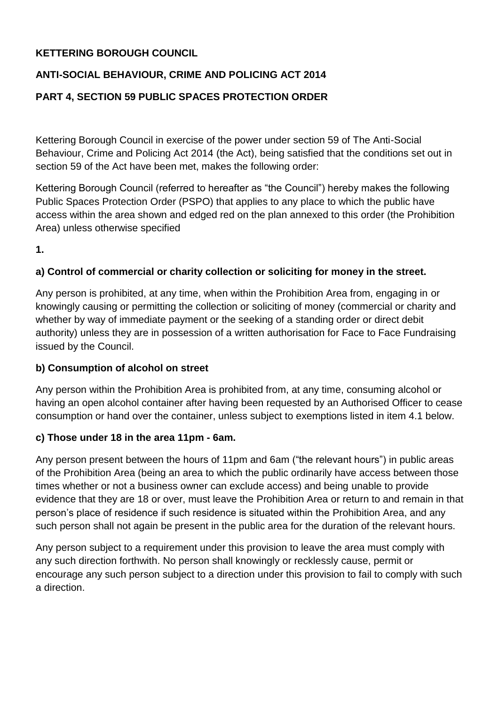## **KETTERING BOROUGH COUNCIL**

# **ANTI-SOCIAL BEHAVIOUR, CRIME AND POLICING ACT 2014**

# **PART 4, SECTION 59 PUBLIC SPACES PROTECTION ORDER**

Kettering Borough Council in exercise of the power under section 59 of The Anti-Social Behaviour, Crime and Policing Act 2014 (the Act), being satisfied that the conditions set out in section 59 of the Act have been met, makes the following order:

Kettering Borough Council (referred to hereafter as "the Council") hereby makes the following Public Spaces Protection Order (PSPO) that applies to any place to which the public have access within the area shown and edged red on the plan annexed to this order (the Prohibition Area) unless otherwise specified

**1.**

### **a) Control of commercial or charity collection or soliciting for money in the street.**

Any person is prohibited, at any time, when within the Prohibition Area from, engaging in or knowingly causing or permitting the collection or soliciting of money (commercial or charity and whether by way of immediate payment or the seeking of a standing order or direct debit authority) unless they are in possession of a written authorisation for Face to Face Fundraising issued by the Council.

#### **b) Consumption of alcohol on street**

Any person within the Prohibition Area is prohibited from, at any time, consuming alcohol or having an open alcohol container after having been requested by an Authorised Officer to cease consumption or hand over the container, unless subject to exemptions listed in item 4.1 below.

#### **c) Those under 18 in the area 11pm - 6am.**

Any person present between the hours of 11pm and 6am ("the relevant hours") in public areas of the Prohibition Area (being an area to which the public ordinarily have access between those times whether or not a business owner can exclude access) and being unable to provide evidence that they are 18 or over, must leave the Prohibition Area or return to and remain in that person's place of residence if such residence is situated within the Prohibition Area, and any such person shall not again be present in the public area for the duration of the relevant hours.

Any person subject to a requirement under this provision to leave the area must comply with any such direction forthwith. No person shall knowingly or recklessly cause, permit or encourage any such person subject to a direction under this provision to fail to comply with such a direction.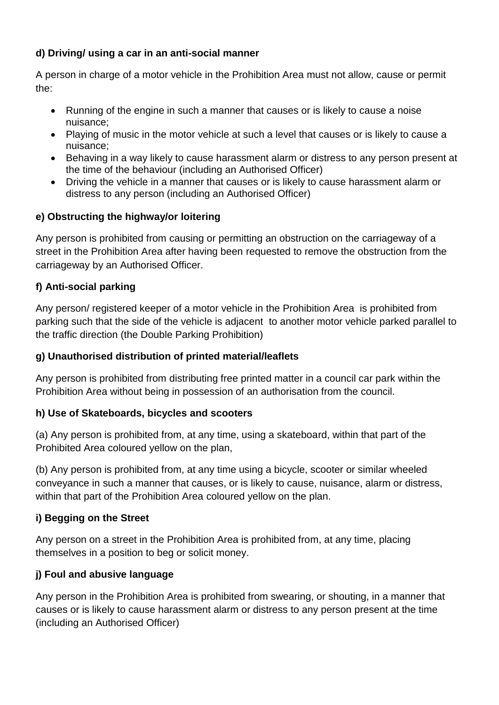## **d) Driving/ using a car in an anti-social manner**

A person in charge of a motor vehicle in the Prohibition Area must not allow, cause or permit the:

- Running of the engine in such a manner that causes or is likely to cause a noise nuisance;
- Playing of music in the motor vehicle at such a level that causes or is likely to cause a nuisance;
- Behaving in a way likely to cause harassment alarm or distress to any person present at the time of the behaviour (including an Authorised Officer)
- Driving the vehicle in a manner that causes or is likely to cause harassment alarm or distress to any person (including an Authorised Officer)

# **e) Obstructing the highway/or loitering**

Any person is prohibited from causing or permitting an obstruction on the carriageway of a street in the Prohibition Area after having been requested to remove the obstruction from the carriageway by an Authorised Officer.

# **f) Anti-social parking**

Any person/ registered keeper of a motor vehicle in the Prohibition Area is prohibited from parking such that the side of the vehicle is adjacent to another motor vehicle parked parallel to the traffic direction (the Double Parking Prohibition)

## **g) Unauthorised distribution of printed material/leaflets**

Any person is prohibited from distributing free printed matter in a council car park within the Prohibition Area without being in possession of an authorisation from the council.

## **h) Use of Skateboards, bicycles and scooters**

(a) Any person is prohibited from, at any time, using a skateboard, within that part of the Prohibited Area coloured yellow on the plan,

(b) Any person is prohibited from, at any time using a bicycle, scooter or similar wheeled conveyance in such a manner that causes, or is likely to cause, nuisance, alarm or distress, within that part of the Prohibition Area coloured yellow on the plan.

## **i) Begging on the Street**

Any person on a street in the Prohibition Area is prohibited from, at any time, placing themselves in a position to beg or solicit money.

# **j) Foul and abusive language**

Any person in the Prohibition Area is prohibited from swearing, or shouting, in a manner that causes or is likely to cause harassment alarm or distress to any person present at the time (including an Authorised Officer)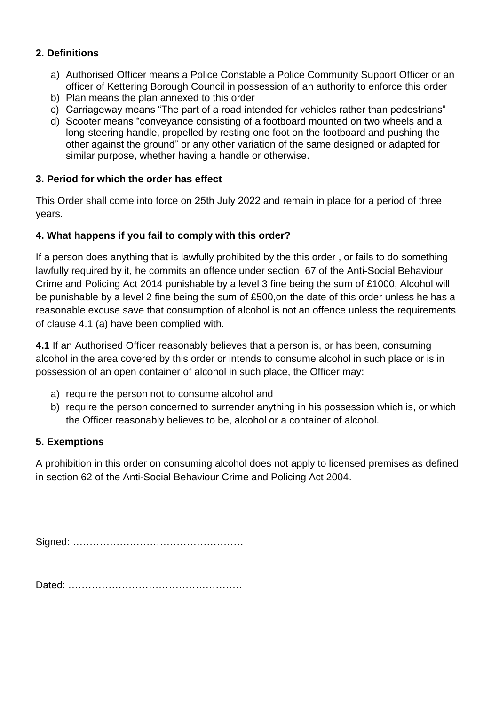### **2. Definitions**

- a) Authorised Officer means a Police Constable a Police Community Support Officer or an officer of Kettering Borough Council in possession of an authority to enforce this order
- b) Plan means the plan annexed to this order
- c) Carriageway means "The part of a road intended for vehicles rather than pedestrians"
- d) Scooter means "conveyance consisting of a footboard mounted on two wheels and a long steering handle, propelled by resting one foot on the footboard and pushing the other against the ground" or any other variation of the same designed or adapted for similar purpose, whether having a handle or otherwise.

### **3. Period for which the order has effect**

This Order shall come into force on 25th July 2022 and remain in place for a period of three years.

### **4. What happens if you fail to comply with this order?**

If a person does anything that is lawfully prohibited by the this order , or fails to do something lawfully required by it, he commits an offence under section 67 of the Anti-Social Behaviour Crime and Policing Act 2014 punishable by a level 3 fine being the sum of £1000, Alcohol will be punishable by a level 2 fine being the sum of £500,on the date of this order unless he has a reasonable excuse save that consumption of alcohol is not an offence unless the requirements of clause 4.1 (a) have been complied with.

**4.1** If an Authorised Officer reasonably believes that a person is, or has been, consuming alcohol in the area covered by this order or intends to consume alcohol in such place or is in possession of an open container of alcohol in such place, the Officer may:

- a) require the person not to consume alcohol and
- b) require the person concerned to surrender anything in his possession which is, or which the Officer reasonably believes to be, alcohol or a container of alcohol.

#### **5. Exemptions**

A prohibition in this order on consuming alcohol does not apply to licensed premises as defined in section 62 of the Anti-Social Behaviour Crime and Policing Act 2004.

Signed: ……………………………………………

Dated: …………………………………………….